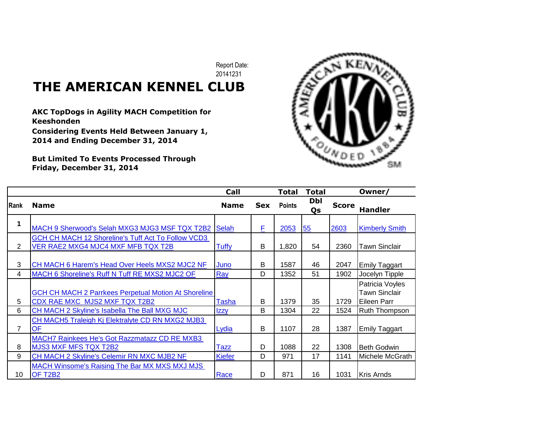Report Date: 20141231

## **THE AMERICAN KENNEL CLUB**

**AKC TopDogs in Agility MACH Competition for Keeshonden Considering Events Held Between January 1, 2014 and Ending December 31, 2014**

**But Limited To Events Processed Through Friday, December 31, 2014**



|                |                                                                                              | Call         |            | Total         | <b>Total</b> |              | Owner/                                                 |
|----------------|----------------------------------------------------------------------------------------------|--------------|------------|---------------|--------------|--------------|--------------------------------------------------------|
| <b>Rank</b>    | <b>Name</b>                                                                                  | <b>Name</b>  | <b>Sex</b> | <b>Points</b> | Dbl<br>Qs    | <b>Score</b> | <b>Handler</b>                                         |
| 1              | MACH 9 Sherwood's Selah MXG3 MJG3 MSF TQX T2B2 Selah                                         |              | F          | 2053          | 55           | 2603         | <b>Kimberly Smith</b>                                  |
| $\overline{2}$ | GCH CH MACH 12 Shoreline's Tuff Act To Follow VCD3<br>VER RAE2 MXG4 MJC4 MXF MFB TQX T2B     | <b>Tuffy</b> | B          | 1,820         | 54           | 2360         | Tawn Sinclair                                          |
| 3              | CH MACH 6 Harem's Head Over Heels MXS2 MJC2 NF                                               | Juno         | B          | 1587          | 46           | 2047         | <b>Emily Taggart</b>                                   |
| 4              | MACH 6 Shoreline's Ruff N Tuff RE MXS2 MJC2 OF                                               | Ray          | D          | 1352          | 51           | 1902         | Jocelyn Tipple                                         |
| 5              | <b>GCH CH MACH 2 Parrkees Perpetual Motion At Shoreline</b><br>CDX RAE MXC MJS2 MXF TQX T2B2 | Tasha        | B          | 1379          | 35           | 1729         | Patricia Voyles<br><b>Tawn Sinclair</b><br>Eileen Parr |
| 6              | CH MACH 2 Skyline's Isabella The Ball MXG MJC                                                | <u>Izzy</u>  | B          | 1304          | 22           | 1524         | <b>Ruth Thompson</b>                                   |
| 7              | CH MACH5 Traleigh Kj Elektralyte CD RN MXG2 MJB3<br>OF                                       | Lydia        | B          | 1107          | 28           | 1387         | <b>Emily Taggart</b>                                   |
| 8              | MACH7 Rainkees He's Got Razzmatazz CD RE MXB3<br><b>MJS3 MXF MFS TQX T2B2</b>                | <b>Tazz</b>  | D          | 1088          | 22           | 1308         | <b>Beth Godwin</b>                                     |
| 9              | CH MACH 2 Skyline's Celemir RN MXC MJB2 NF                                                   | Kiefer       | D          | 971           | 17           | 1141         | Michele McGrath                                        |
| 10             | <b>MACH Winsome's Raising The Bar MX MXS MXJ MJS</b><br>OF T2B2                              | Race         | D          | 871           | 16           | 1031         | <b>IKris Arnds</b>                                     |